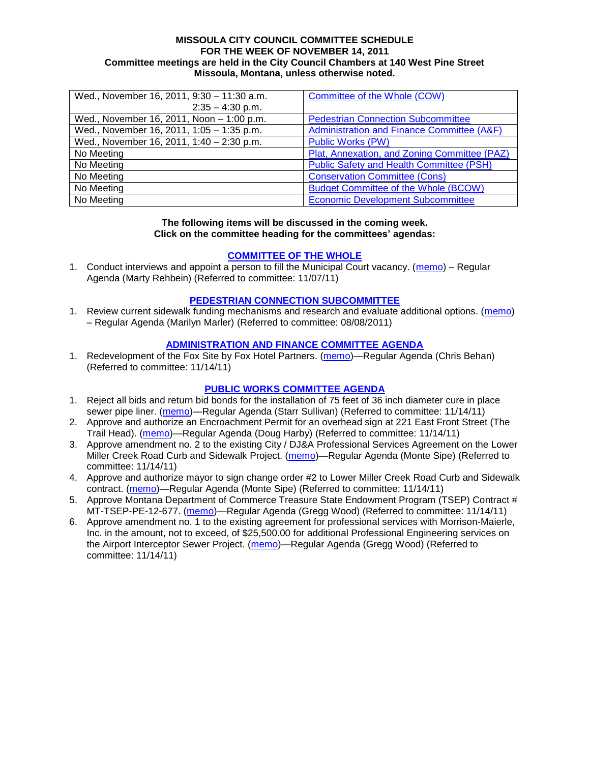### **MISSOULA CITY COUNCIL COMMITTEE SCHEDULE FOR THE WEEK OF NOVEMBER 14, 2011 Committee meetings are held in the City Council Chambers at 140 West Pine Street Missoula, Montana, unless otherwise noted.**

| Wed., November 16, 2011, 9:30 - 11:30 a.m. | Committee of the Whole (COW)                    |
|--------------------------------------------|-------------------------------------------------|
| $2:35 - 4:30$ p.m.                         |                                                 |
| Wed., November 16, 2011, Noon - 1:00 p.m.  | <b>Pedestrian Connection Subcommittee</b>       |
| Wed., November 16, 2011, 1:05 - 1:35 p.m.  | Administration and Finance Committee (A&F)      |
| Wed., November 16, 2011, 1:40 - 2:30 p.m.  | <b>Public Works (PW)</b>                        |
| No Meeting                                 | Plat, Annexation, and Zoning Committee (PAZ)    |
| No Meeting                                 | <b>Public Safety and Health Committee (PSH)</b> |
| No Meeting                                 | <b>Conservation Committee (Cons)</b>            |
| No Meeting                                 | <b>Budget Committee of the Whole (BCOW)</b>     |
| No Meeting                                 | <b>Economic Development Subcommittee</b>        |

### **The following items will be discussed in the coming week. Click on the committee heading for the committees' agendas:**

# **[COMMITTEE OF THE WHOLE](http://www.ci.missoula.mt.us/DocumentCenterii.aspx?FID=834)**

1. Conduct interviews and appoint a person to fill the Municipal Court vacancy. [\(memo\)](http://www.ci.missoula.mt.us/DocumentView.aspx?DID=7571) – Regular Agenda (Marty Rehbein) (Referred to committee: 11/07/11)

### **[PEDESTRIAN CONNECTION SUBCOMMITTEE](http://www.ci.missoula.mt.us/DocumentCenterii.aspx?FID=845)**

1. Review current sidewalk funding mechanisms and research and evaluate additional options. [\(memo\)](http://www.ci.missoula.mt.us/DocumentView.aspx?DID=7017) – Regular Agenda (Marilyn Marler) (Referred to committee: 08/08/2011)

### **[ADMINISTRATION AND FINANCE COMMITTEE AGENDA](http://www.ci.missoula.mt.us/DocumentCenterii.aspx?FID=830)**

1. Redevelopment of the Fox Site by Fox Hotel Partners. [\(memo\)](http://www.ci.missoula.mt.us/DocumentView.aspx?DID=7610)—Regular Agenda (Chris Behan) (Referred to committee: 11/14/11)

# **[PUBLIC WORKS COMMITTEE AGENDA](http://www.ci.missoula.mt.us/DocumentCenterii.aspx?FID=833)**

- 1. Reject all bids and return bid bonds for the installation of 75 feet of 36 inch diameter cure in place sewer pipe liner. [\(memo\)](http://www.ci.missoula.mt.us/DocumentView.aspx?DID=7616)—Regular Agenda (Starr Sullivan) (Referred to committee: 11/14/11)
- 2. Approve and authorize an Encroachment Permit for an overhead sign at 221 East Front Street (The Trail Head). [\(memo\)](http://www.ci.missoula.mt.us/DocumentView.aspx?DID=7611)—Regular Agenda (Doug Harby) (Referred to committee: 11/14/11)
- 3. Approve amendment no. 2 to the existing City / DJ&A Professional Services Agreement on the Lower Miller Creek Road Curb and Sidewalk Project. [\(memo\)](http://www.ci.missoula.mt.us/DocumentView.aspx?DID=7615)—Regular Agenda (Monte Sipe) (Referred to committee: 11/14/11)
- 4. Approve and authorize mayor to sign change order #2 to Lower Miller Creek Road Curb and Sidewalk contract. [\(memo\)](http://www.ci.missoula.mt.us/DocumentView.aspx?DID=7614)—Regular Agenda (Monte Sipe) (Referred to committee: 11/14/11)
- 5. Approve Montana Department of Commerce Treasure State Endowment Program (TSEP) Contract # MT-TSEP-PE-12-677. [\(memo\)](http://www.ci.missoula.mt.us/DocumentView.aspx?DID=7612)—Regular Agenda (Gregg Wood) (Referred to committee: 11/14/11)
- 6. Approve amendment no. 1 to the existing agreement for professional services with Morrison-Maierle, Inc. in the amount, not to exceed, of \$25,500.00 for additional Professional Engineering services on the Airport Interceptor Sewer Project. [\(memo\)](http://www.ci.missoula.mt.us/DocumentView.aspx?DID=7613)—Regular Agenda (Gregg Wood) (Referred to committee: 11/14/11)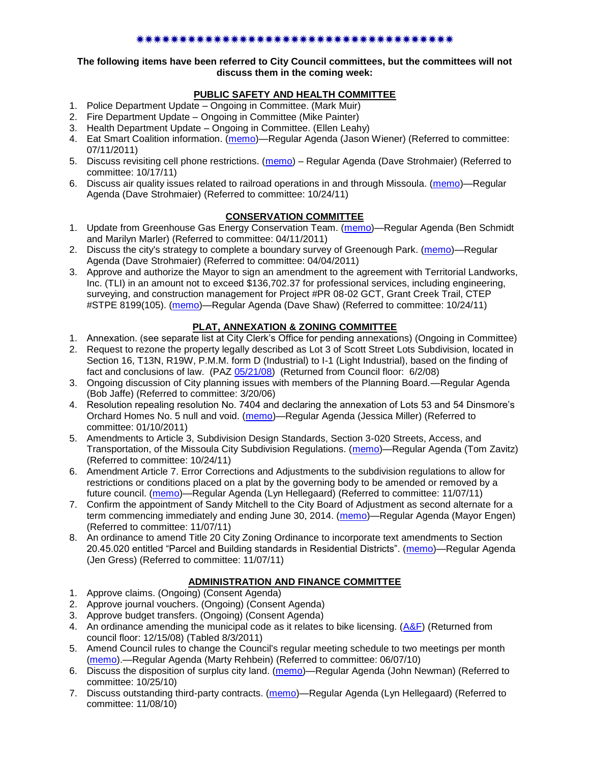### \*\*\*\*\*\*\*\*\*\*\*\*\*\*\*\*\*\*\*\*\*\*\*\*\*\*\*\*\*\*\*\*\*\*\*

### **The following items have been referred to City Council committees, but the committees will not discuss them in the coming week:**

# **PUBLIC SAFETY AND HEALTH COMMITTEE**

- 1. Police Department Update Ongoing in Committee. (Mark Muir)
- 2. Fire Department Update Ongoing in Committee (Mike Painter)
- 3. Health Department Update Ongoing in Committee. (Ellen Leahy)
- 4. Eat Smart Coalition information. [\(memo\)](http://www.ci.missoula.mt.us/DocumentView.aspx?DID=6776)—Regular Agenda (Jason Wiener) (Referred to committee: 07/11/2011)
- 5. Discuss revisiting cell phone restrictions. [\(memo\)](http://www.ci.missoula.mt.us/DocumentView.aspx?DID=7420) Regular Agenda (Dave Strohmaier) (Referred to committee: 10/17/11)
- 6. Discuss air quality issues related to railroad operations in and through Missoula. [\(memo\)](http://www.ci.missoula.mt.us/DocumentView.aspx?DID=7495)—Regular Agenda (Dave Strohmaier) (Referred to committee: 10/24/11)

# **CONSERVATION COMMITTEE**

- 1. Update from Greenhouse Gas Energy Conservation Team. [\(memo\)](http://www.ci.missoula.mt.us/DocumentView.aspx?DID=5945)—Regular Agenda (Ben Schmidt and Marilyn Marler) (Referred to committee: 04/11/2011)
- 2. Discuss the city's strategy to complete a boundary survey of Greenough Park. [\(memo\)](http://www.ci.missoula.mt.us/DocumentView.aspx?DID=5875)—Regular Agenda (Dave Strohmaier) (Referred to committee: 04/04/2011)
- 3. Approve and authorize the Mayor to sign an amendment to the agreement with Territorial Landworks, Inc. (TLI) in an amount not to exceed \$136,702.37 for professional services, including engineering, surveying, and construction management for Project #PR 08-02 GCT, Grant Creek Trail, CTEP #STPE 8199(105). [\(memo\)](http://www.ci.missoula.mt.us/DocumentView.aspx?DID=7494)—Regular Agenda (Dave Shaw) (Referred to committee: 10/24/11)

# **PLAT, ANNEXATION & ZONING COMMITTEE**

- 1. Annexation. (see separate list at City Clerk's Office for pending annexations) (Ongoing in Committee)
- 2. Request to rezone the property legally described as Lot 3 of Scott Street Lots Subdivision, located in Section 16, T13N, R19W, P.M.M. form D (Industrial) to I-1 (Light Industrial), based on the finding of fact and conclusions of law. (PAZ [05/21/08\)](ftp://ftp.ci.missoula.mt.us/Packets/Council/2008/2008-06-02/080521paz.pdf) (Returned from Council floor: 6/2/08)
- 3. Ongoing discussion of City planning issues with members of the Planning Board.—Regular Agenda (Bob Jaffe) (Referred to committee: 3/20/06)
- 4. Resolution repealing resolution No. 7404 and declaring the annexation of Lots 53 and 54 Dinsmore's Orchard Homes No. 5 null and void. [\(memo\)](http://www.ci.missoula.mt.us/DocumentView.aspx?DID=5349)—Regular Agenda (Jessica Miller) (Referred to committee: 01/10/2011)
- 5. Amendments to Article 3, Subdivision Design Standards, Section 3-020 Streets, Access, and Transportation, of the Missoula City Subdivision Regulations. [\(memo\)](http://www.ci.missoula.mt.us/DocumentView.aspx?DID=7491)—Regular Agenda (Tom Zavitz) (Referred to committee: 10/24/11)
- 6. Amendment Article 7. Error Corrections and Adjustments to the subdivision regulations to allow for restrictions or conditions placed on a plat by the governing body to be amended or removed by a future council. [\(memo\)](http://www.ci.missoula.mt.us/DocumentView.aspx?DID=7568)—Regular Agenda (Lyn Hellegaard) (Referred to committee: 11/07/11)
- 7. Confirm the appointment of Sandy Mitchell to the City Board of Adjustment as second alternate for a term commencing immediately and ending June 30, 2014. [\(memo\)](http://www.ci.missoula.mt.us/DocumentView.aspx?DID=7570)—Regular Agenda (Mayor Engen) (Referred to committee: 11/07/11)
- 8. An ordinance to amend Title 20 City Zoning Ordinance to incorporate text amendments to Section 20.45.020 entitled "Parcel and Building standards in Residential Districts". [\(memo\)](http://www.ci.missoula.mt.us/DocumentView.aspx?DID=7573)—Regular Agenda (Jen Gress) (Referred to committee: 11/07/11)

# **ADMINISTRATION AND FINANCE COMMITTEE**

- 1. Approve claims. (Ongoing) (Consent Agenda)
- 2. Approve journal vouchers. (Ongoing) (Consent Agenda)
- 3. Approve budget transfers. (Ongoing) (Consent Agenda)
- 4. An ordinance amending the municipal code as it relates to bike licensing. [\(A&F\)](ftp://ftp.ci.missoula.mt.us/Packets/Council/2008/2008-12-15/081210af.pdf) (Returned from council floor: 12/15/08) (Tabled 8/3/2011)
- 5. Amend Council rules to change the Council's regular meeting schedule to two meetings per month [\(memo\)](http://www.ci.missoula.mt.us/DocumentView.aspx?DID=4027).—Regular Agenda (Marty Rehbein) (Referred to committee: 06/07/10)
- 6. Discuss the disposition of surplus city land. [\(memo\)](http://www.ci.missoula.mt.us/DocumentView.aspx?DID=4862)—Regular Agenda (John Newman) (Referred to committee: 10/25/10)
- 7. Discuss outstanding third-party contracts. [\(memo\)](http://www.ci.missoula.mt.us/DocumentView.aspx?DID=4956)—Regular Agenda (Lyn Hellegaard) (Referred to committee: 11/08/10)